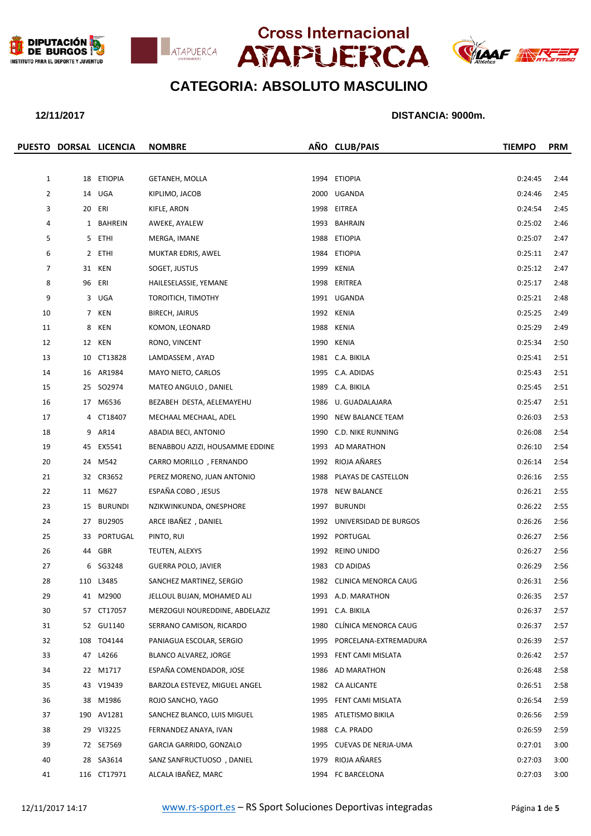







|                |    | PUESTO DORSAL LICENCIA | <b>NOMBRE</b>                   |      | AÑO CLUB/PAIS              | <b>TIEMPO</b> | <b>PRM</b> |
|----------------|----|------------------------|---------------------------------|------|----------------------------|---------------|------------|
|                |    |                        |                                 |      |                            |               |            |
| $\mathbf{1}$   |    | 18 ETIOPIA             | <b>GETANEH, MOLLA</b>           | 1994 | <b>ETIOPIA</b>             | 0:24:45       | 2:44       |
| $\overline{2}$ |    | 14 UGA                 | KIPLIMO, JACOB                  | 2000 | UGANDA                     | 0:24:46       | 2:45       |
| 3              |    | 20 ERI                 | KIFLE, ARON                     | 1998 | EITREA                     | 0:24:54       | 2:45       |
| 4              |    | 1 BAHREIN              | AWEKE, AYALEW                   |      | 1993 BAHRAIN               | 0:25:02       | 2:46       |
| 5              |    | 5 ETHI                 | MERGA, IMANE                    | 1988 | <b>ETIOPIA</b>             | 0:25:07       | 2:47       |
| 6              |    | 2 ETHI                 | MUKTAR EDRIS, AWEL              | 1984 | ETIOPIA                    | 0:25:11       | 2:47       |
| 7              | 31 | KEN                    | SOGET, JUSTUS                   | 1999 | KENIA                      | 0:25:12       | 2:47       |
| 8              |    | 96 ERI                 | HAILESELASSIE, YEMANE           |      | 1998 ERITREA               | 0:25:17       | 2:48       |
| 9              | 3  | UGA                    | TOROITICH, TIMOTHY              |      | 1991 UGANDA                | 0:25:21       | 2:48       |
| 10             |    | 7 KEN                  | <b>BIRECH, JAIRUS</b>           |      | 1992 KENIA                 | 0:25:25       | 2:49       |
| 11             | 8  | KEN                    | KOMON, LEONARD                  | 1988 | KENIA                      | 0:25:29       | 2:49       |
| 12             |    | 12 KEN                 | RONO, VINCENT                   |      | 1990 KENIA                 | 0:25:34       | 2:50       |
| 13             |    | 10 CT13828             | LAMDASSEM, AYAD                 |      | 1981 C.A. BIKILA           | 0:25:41       | 2:51       |
| 14             |    | 16 AR1984              | MAYO NIETO, CARLOS              |      | 1995 C.A. ADIDAS           | 0:25:43       | 2:51       |
| 15             |    | 25 SO2974              | MATEO ANGULO, DANIEL            | 1989 | C.A. BIKILA                | 0:25:45       | 2:51       |
| 16             |    | 17 M6536               | BEZABEH DESTA, AELEMAYEHU       | 1986 | U. GUADALAJARA             | 0:25:47       | 2:51       |
| 17             |    | 4 CT18407              | MECHAAL MECHAAL, ADEL           | 1990 | NEW BALANCE TEAM           | 0:26:03       | 2:53       |
| 18             |    | 9 AR14                 | ABADIA BECI, ANTONIO            |      | 1990 C.D. NIKE RUNNING     | 0:26:08       | 2:54       |
| 19             |    | 45 EX5541              | BENABBOU AZIZI, HOUSAMME EDDINE | 1993 | AD MARATHON                | 0:26:10       | 2:54       |
| 20             |    | 24 M542                | CARRO MORILLO, FERNANDO         |      | 1992 RIOJA AÑARES          | 0:26:14       | 2:54       |
| 21             |    | 32 CR3652              | PEREZ MORENO, JUAN ANTONIO      | 1988 | PLAYAS DE CASTELLON        | 0:26:16       | 2:55       |
| 22             |    | 11 M627                | ESPAÑA COBO, JESUS              | 1978 | NEW BALANCE                | 0:26:21       | 2:55       |
| 23             |    | 15 BURUNDI             | NZIKWINKUNDA, ONESPHORE         | 1997 | <b>BURUNDI</b>             | 0:26:22       | 2:55       |
| 24             |    | 27 BU2905              | ARCE IBAÑEZ, DANIEL             |      | 1992 UNIVERSIDAD DE BURGOS | 0:26:26       | 2:56       |
| 25             | 33 | PORTUGAL               | PINTO, RUI                      |      | 1992 PORTUGAL              | 0:26:27       | 2:56       |
| 26             |    | 44 GBR                 | TEUTEN, ALEXYS                  | 1992 | REINO UNIDO                | 0:26:27       | 2:56       |
| 27             | 6  | SG3248                 | <b>GUERRA POLO, JAVIER</b>      | 1983 | CD ADIDAS                  | 0:26:29       | 2:56       |
| 28             |    | 110 L3485              | SANCHEZ MARTINEZ, SERGIO        |      | 1982 CLINICA MENORCA CAUG  | 0:26:31       | 2:56       |
| 29             |    | 41 M2900               | JELLOUL BUJAN, MOHAMED ALI      | 1993 | A.D. MARATHON              | 0:26:35       | 2:57       |
| 30             |    | 57 CT17057             | MERZOGUI NOUREDDINE, ABDELAZIZ  |      | 1991 C.A. BIKILA           | 0:26:37       | 2:57       |
| 31             |    | 52 GU1140              | SERRANO CAMISON, RICARDO        | 1980 | CLÍNICA MENORCA CAUG       | 0:26:37       | 2:57       |
| 32             |    | 108 TO4144             | PANIAGUA ESCOLAR, SERGIO        | 1995 | PORCELANA-EXTREMADURA      | 0:26:39       | 2:57       |
| 33             |    | 47 L4266               | BLANCO ALVAREZ, JORGE           | 1993 | FENT CAMI MISLATA          | 0:26:42       | 2:57       |
| 34             |    | 22 M1717               | ESPAÑA COMENDADOR, JOSE         | 1986 | AD MARATHON                | 0:26:48       | 2:58       |
| 35             |    | 43 V19439              | BARZOLA ESTEVEZ, MIGUEL ANGEL   |      | 1982 CA ALICANTE           | 0:26:51       | 2:58       |
| 36             |    | 38 M1986               | ROJO SANCHO, YAGO               |      | 1995 FENT CAMI MISLATA     | 0:26:54       | 2:59       |
| 37             |    | 190 AV1281             | SANCHEZ BLANCO, LUIS MIGUEL     | 1985 | ATLETISMO BIKILA           | 0:26:56       | 2:59       |
| 38             |    | 29 VI3225              | FERNANDEZ ANAYA, IVAN           | 1988 | C.A. PRADO                 | 0:26:59       | 2:59       |
| 39             |    | 72 SE7569              | GARCIA GARRIDO, GONZALO         | 1995 | CUEVAS DE NERJA-UMA        | 0:27:01       | 3:00       |
| 40             |    | 28 SA3614              | SANZ SANFRUCTUOSO, DANIEL       | 1979 | RIOJA AÑARES               | 0:27:03       | 3:00       |
| 41             |    | 116 CT17971            | ALCALA IBAÑEZ, MARC             |      | 1994 FC BARCELONA          | 0:27:03       | 3:00       |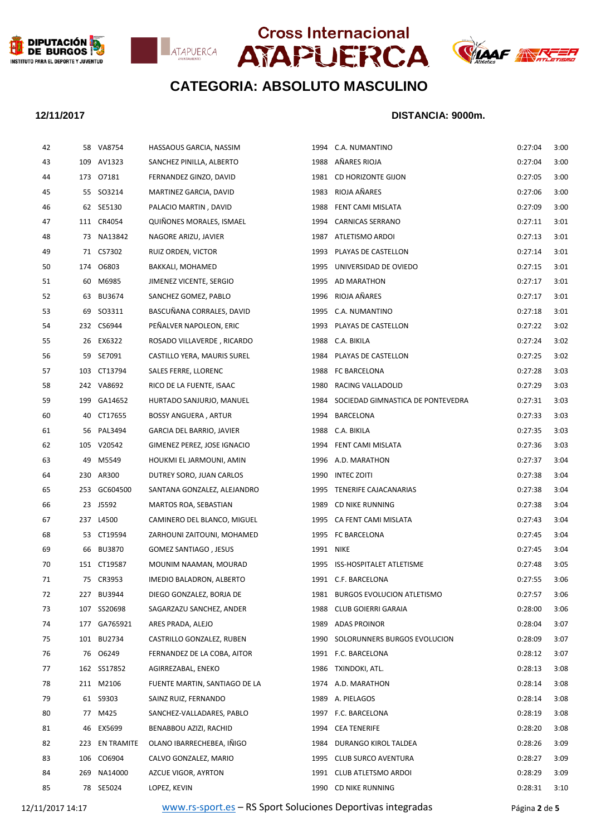







| 42 |     | 58 VA8754      | HASSAOUS GARCIA, NASSIM          | 1994      | C.A. NUMANTINO                    | 0:27:04 | 3:00 |
|----|-----|----------------|----------------------------------|-----------|-----------------------------------|---------|------|
| 43 |     | 109 AV1323     | SANCHEZ PINILLA, ALBERTO         |           | 1988 AÑARES RIOJA                 | 0:27:04 | 3:00 |
| 44 |     | 173 07181      | FERNANDEZ GINZO, DAVID           |           | 1981 CD HORIZONTE GIJON           | 0:27:05 | 3:00 |
| 45 |     | 55 SO3214      | MARTINEZ GARCIA, DAVID           |           | 1983 RIOJA AÑARES                 | 0:27:06 | 3:00 |
| 46 |     | 62 SE5130      | PALACIO MARTIN, DAVID            |           | 1988 FENT CAMI MISLATA            | 0:27:09 | 3:00 |
| 47 |     | 111 CR4054     | QUIÑONES MORALES, ISMAEL         |           | 1994 CARNICAS SERRANO             | 0:27:11 | 3:01 |
| 48 |     | 73 NA13842     | NAGORE ARIZU, JAVIER             |           | 1987 ATLETISMO ARDOI              | 0:27:13 | 3:01 |
| 49 |     | 71 CS7302      | RUIZ ORDEN, VICTOR               |           | 1993 PLAYAS DE CASTELLON          | 0:27:14 | 3:01 |
| 50 |     | 174 06803      | BAKKALI, MOHAMED                 | 1995      | UNIVERSIDAD DE OVIEDO             | 0:27:15 | 3:01 |
| 51 |     | 60 M6985       | JIMENEZ VICENTE, SERGIO          |           | 1995 AD MARATHON                  | 0:27:17 | 3:01 |
| 52 |     | 63 BU3674      | SANCHEZ GOMEZ, PABLO             |           | 1996 RIOJA AÑARES                 | 0:27:17 | 3:01 |
| 53 |     | 69 SO3311      | BASCUÑANA CORRALES, DAVID        | 1995      | C.A. NUMANTINO                    | 0:27:18 | 3:01 |
| 54 |     | 232 CS6944     | PEÑALVER NAPOLEON, ERIC          |           | 1993 PLAYAS DE CASTELLON          | 0:27:22 | 3:02 |
| 55 |     | 26 EX6322      | ROSADO VILLAVERDE, RICARDO       | 1988      | C.A. BIKILA                       | 0:27:24 | 3:02 |
| 56 |     | 59 SE7091      | CASTILLO YERA, MAURIS SUREL      |           | 1984 PLAYAS DE CASTELLON          | 0:27:25 | 3:02 |
| 57 |     | 103 CT13794    | SALES FERRE, LLORENC             | 1988      | FC BARCELONA                      | 0:27:28 | 3:03 |
| 58 |     | 242 VA8692     | RICO DE LA FUENTE, ISAAC         | 1980      | RACING VALLADOLID                 | 0:27:29 | 3:03 |
| 59 |     | 199 GA14652    | HURTADO SANJURJO, MANUEL         | 1984      | SOCIEDAD GIMNASTICA DE PONTEVEDRA | 0:27:31 | 3:03 |
| 60 |     | 40 CT17655     | <b>BOSSY ANGUERA, ARTUR</b>      |           | 1994 BARCELONA                    | 0:27:33 | 3:03 |
| 61 |     | 56 PAL3494     | <b>GARCIA DEL BARRIO, JAVIER</b> |           | 1988 C.A. BIKILA                  | 0:27:35 | 3:03 |
| 62 |     | 105 V20542     | GIMENEZ PEREZ, JOSE IGNACIO      |           | 1994 FENT CAMI MISLATA            | 0:27:36 | 3:03 |
| 63 | 49  | M5549          | HOUKMI EL JARMOUNI, AMIN         |           | 1996 A.D. MARATHON                | 0:27:37 | 3:04 |
| 64 |     | 230 AR300      | DUTREY SORO, JUAN CARLOS         |           | 1990 INTEC ZOITI                  | 0:27:38 | 3:04 |
| 65 |     | 253 GC604500   | SANTANA GONZALEZ, ALEJANDRO      |           | 1995 TENERIFE CAJACANARIAS        | 0:27:38 | 3:04 |
| 66 |     | 23 J5592       | MARTOS ROA, SEBASTIAN            | 1989      | CD NIKE RUNNING                   | 0:27:38 | 3:04 |
| 67 |     | 237 L4500      | CAMINERO DEL BLANCO, MIGUEL      |           | 1995 CA FENT CAMI MISLATA         | 0:27:43 | 3:04 |
| 68 |     | 53 CT19594     | ZARHOUNI ZAITOUNI, MOHAMED       |           | 1995 FC BARCELONA                 | 0:27:45 | 3:04 |
| 69 |     | 66 BU3870      | GOMEZ SANTIAGO, JESUS            | 1991 NIKE |                                   | 0:27:45 | 3:04 |
| 70 |     | 151 CT19587    | MOUNIM NAAMAN, MOURAD            |           | 1995 ISS-HOSPITALET ATLETISME     | 0:27:48 | 3:05 |
| 71 |     | 75 CR3953      | IMEDIO BALADRON, ALBERTO         |           | 1991 C.F. BARCELONA               | 0:27:55 | 3:06 |
| 72 |     | 227 BU3944     | DIEGO GONZALEZ, BORJA DE         |           | 1981 BURGOS EVOLUCION ATLETISMO   | 0:27:57 | 3:06 |
| 73 |     | 107 SS20698    | SAGARZAZU SANCHEZ, ANDER         | 1988      | CLUB GOIERRI GARAIA               | 0:28:00 | 3:06 |
| 74 |     | 177 GA765921   | ARES PRADA, ALEJO                |           | 1989 ADAS PROINOR                 | 0:28:04 | 3:07 |
| 75 |     | 101 BU2734     | CASTRILLO GONZALEZ, RUBEN        |           | 1990 SOLORUNNERS BURGOS EVOLUCION | 0:28:09 | 3:07 |
| 76 |     | 76 06249       | FERNANDEZ DE LA COBA, AITOR      |           | 1991 F.C. BARCELONA               | 0:28:12 | 3:07 |
| 77 |     | 162 SS17852    | AGIRREZABAL, ENEKO               |           | 1986 TXINDOKI, ATL.               | 0:28:13 | 3:08 |
| 78 |     | 211 M2106      | FUENTE MARTIN, SANTIAGO DE LA    |           | 1974 A.D. MARATHON                | 0:28:14 | 3:08 |
| 79 |     | 61 S9303       | SAINZ RUIZ, FERNANDO             |           | 1989 A. PIELAGOS                  | 0:28:14 | 3:08 |
| 80 | 77  | M425           | SANCHEZ-VALLADARES, PABLO        |           | 1997 F.C. BARCELONA               | 0:28:19 | 3:08 |
| 81 |     | 46 EX5699      | BENABBOU AZIZI, RACHID           |           | 1994 CEA TENERIFE                 | 0:28:20 | 3:08 |
| 82 |     | 223 EN TRAMITE | OLANO IBARRECHEBEA, IÑIGO        |           | 1984 DURANGO KIROL TALDEA         | 0:28:26 | 3:09 |
| 83 |     | 106 CO6904     | CALVO GONZALEZ, MARIO            |           | 1995 CLUB SURCO AVENTURA          | 0:28:27 | 3:09 |
| 84 | 269 | NA14000        | AZCUE VIGOR, AYRTON              |           | 1991 CLUB ATLETSMO ARDOI          | 0:28:29 | 3:09 |
| 85 |     | 78 SE5024      | LOPEZ, KEVIN                     |           | 1990 CD NIKE RUNNING              | 0:28:31 | 3:10 |
|    |     |                |                                  |           |                                   |         |      |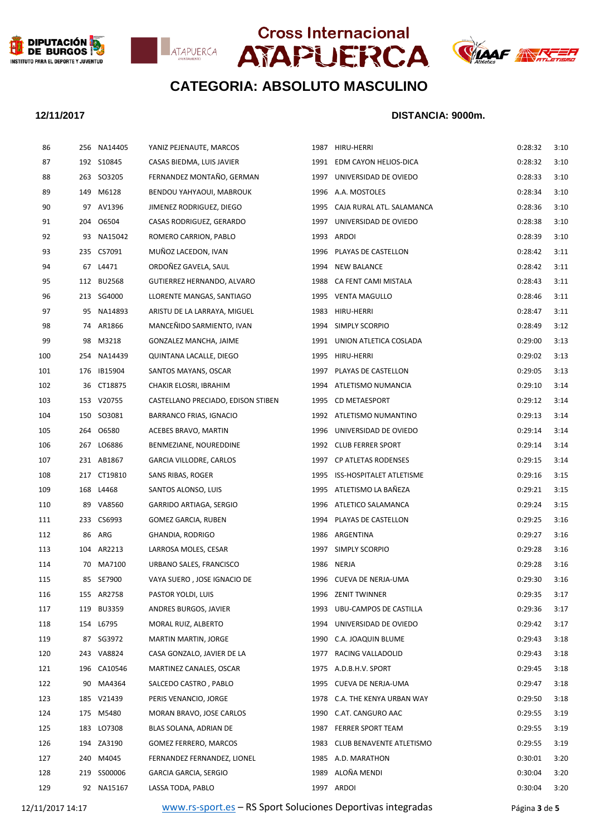







| 86  |     | 256 NA14405   | YANIZ PEJENAUTE, MARCOS            | 1987 HIRU-HERRI                | 0:28:32 | 3:10 |
|-----|-----|---------------|------------------------------------|--------------------------------|---------|------|
| 87  |     | 192 S10845    | CASAS BIEDMA, LUIS JAVIER          | 1991 EDM CAYON HELIOS-DICA     | 0:28:32 | 3:10 |
| 88  |     | 263 SO3205    | FERNANDEZ MONTAÑO, GERMAN          | 1997 UNIVERSIDAD DE OVIEDO     | 0:28:33 | 3:10 |
| 89  |     | 149 M6128     | BENDOU YAHYAOUI, MABROUK           | 1996 A.A. MOSTOLES             | 0:28:34 | 3:10 |
| 90  |     | 97 AV1396     | JIMENEZ RODRIGUEZ, DIEGO           | 1995 CAJA RURAL ATL. SALAMANCA | 0:28:36 | 3:10 |
| 91  |     | 204 06504     | CASAS RODRIGUEZ, GERARDO           | 1997 UNIVERSIDAD DE OVIEDO     | 0:28:38 | 3:10 |
| 92  |     | 93 NA15042    | ROMERO CARRION, PABLO              | 1993 ARDOI                     | 0:28:39 | 3:10 |
| 93  |     | 235 CS7091    | MUÑOZ LACEDON, IVAN                | 1996 PLAYAS DE CASTELLON       | 0:28:42 | 3:11 |
| 94  |     | 67 L4471      | ORDOÑEZ GAVELA, SAUL               | 1994 NEW BALANCE               | 0:28:42 | 3:11 |
| 95  |     | 112 BU2568    | GUTIERREZ HERNANDO, ALVARO         | 1988 CA FENT CAMI MISTALA      | 0:28:43 | 3:11 |
| 96  |     | 213 SG4000    | LLORENTE MANGAS, SANTIAGO          | 1995 VENTA MAGULLO             | 0:28:46 | 3:11 |
| 97  |     | 95 NA14893    | ARISTU DE LA LARRAYA, MIGUEL       | 1983 HIRU-HERRI                | 0:28:47 | 3:11 |
| 98  |     | 74 AR1866     | MANCEÑIDO SARMIENTO, IVAN          | 1994 SIMPLY SCORPIO            | 0:28:49 | 3:12 |
| 99  | 98  | M3218         | GONZALEZ MANCHA, JAIME             | 1991 UNION ATLETICA COSLADA    | 0:29:00 | 3:13 |
| 100 |     | 254 NA14439   | QUINTANA LACALLE, DIEGO            | 1995 HIRU-HERRI                | 0:29:02 | 3:13 |
| 101 |     | 176 IB15904   | SANTOS MAYANS, OSCAR               | 1997 PLAYAS DE CASTELLON       | 0:29:05 | 3:13 |
| 102 |     | 36 CT18875    | CHAKIR ELOSRI, IBRAHIM             | 1994 ATLETISMO NUMANCIA        | 0:29:10 | 3:14 |
| 103 |     | 153 V20755    | CASTELLANO PRECIADO, EDISON STIBEN | 1995 CD METAESPORT             | 0:29:12 | 3:14 |
| 104 |     | 150 SO3081    | BARRANCO FRIAS, IGNACIO            | 1992 ATLETISMO NUMANTINO       | 0:29:13 | 3:14 |
| 105 |     | 264 06580     | ACEBES BRAVO, MARTIN               | 1996 UNIVERSIDAD DE OVIEDO     | 0:29:14 | 3:14 |
| 106 |     | 267 LO6886    | BENMEZIANE, NOUREDDINE             | 1992 CLUB FERRER SPORT         | 0:29:14 | 3:14 |
| 107 |     | 231 AB1867    | GARCIA VILLODRE, CARLOS            | 1997 CP ATLETAS RODENSES       | 0:29:15 | 3:14 |
| 108 |     | 217 CT19810   | SANS RIBAS, ROGER                  | 1995 ISS-HOSPITALET ATLETISME  | 0:29:16 | 3:15 |
| 109 |     | 168 L4468     | SANTOS ALONSO, LUIS                | 1995 ATLETISMO LA BAÑEZA       | 0:29:21 | 3:15 |
| 110 |     | 89 VA8560     | GARRIDO ARTIAGA, SERGIO            | 1996 ATLETICO SALAMANCA        | 0:29:24 | 3:15 |
| 111 |     | 233 CS6993    | GOMEZ GARCIA, RUBEN                | 1994 PLAYAS DE CASTELLON       | 0:29:25 | 3:16 |
| 112 | 86  | ARG           | GHANDIA, RODRIGO                   | 1986 ARGENTINA                 | 0:29:27 | 3:16 |
| 113 |     | 104 AR2213    | LARROSA MOLES, CESAR               | 1997 SIMPLY SCORPIO            | 0:29:28 | 3:16 |
| 114 |     | 70 MA7100     | URBANO SALES, FRANCISCO            | 1986 NERJA                     | 0:29:28 | 3:16 |
| 115 |     | 85 SE7900     | VAYA SUERO, JOSE IGNACIO DE        | 1996 CUEVA DE NERJA-UMA        | 0:29:30 | 3:16 |
| 116 |     | 155 AR2758    | PASTOR YOLDI, LUIS                 | 1996 ZENIT TWINNER             | 0:29:35 | 3:17 |
| 117 | 119 | <b>BU3359</b> | ANDRES BURGOS, JAVIER              | 1993 UBU-CAMPOS DE CASTILLA    | 0:29:36 | 3:17 |
| 118 |     | 154 L6795     | MORAL RUIZ, ALBERTO                | 1994 UNIVERSIDAD DE OVIEDO     | 0:29:42 | 3:17 |
| 119 | 87  | SG3972        | <b>MARTIN MARTIN, JORGE</b>        | 1990 C.A. JOAQUIN BLUME        | 0:29:43 | 3:18 |
| 120 |     | 243 VA8824    | CASA GONZALO, JAVIER DE LA         | 1977 RACING VALLADOLID         | 0:29:43 | 3:18 |
| 121 |     | 196 CA10546   | MARTINEZ CANALES, OSCAR            | 1975 A.D.B.H.V. SPORT          | 0:29:45 | 3:18 |
| 122 |     | 90 MA4364     | SALCEDO CASTRO, PABLO              | 1995 CUEVA DE NERJA-UMA        | 0:29:47 | 3:18 |
| 123 |     | 185 V21439    | PERIS VENANCIO, JORGE              | 1978 C.A. THE KENYA URBAN WAY  | 0:29:50 | 3:18 |
| 124 |     | 175 M5480     | MORAN BRAVO, JOSE CARLOS           | 1990 C.AT. CANGURO AAC         | 0:29:55 | 3:19 |
| 125 |     | 183 LO7308    | BLAS SOLANA, ADRIAN DE             | 1987 FERRER SPORT TEAM         | 0:29:55 | 3:19 |
| 126 |     | 194 ZA3190    | GOMEZ FERRERO, MARCOS              | 1983 CLUB BENAVENTE ATLETISMO  | 0:29:55 | 3:19 |
| 127 |     | 240 M4045     | FERNANDEZ FERNANDEZ, LIONEL        | 1985 A.D. MARATHON             | 0:30:01 | 3:20 |
| 128 |     | 219 SS00006   | GARCIA GARCIA, SERGIO              | 1989 ALOÑA MENDI               | 0:30:04 | 3:20 |
| 129 |     | 92 NA15167    | LASSA TODA, PABLO                  | 1997 ARDOI                     | 0:30:04 | 3:20 |
|     |     |               |                                    |                                |         |      |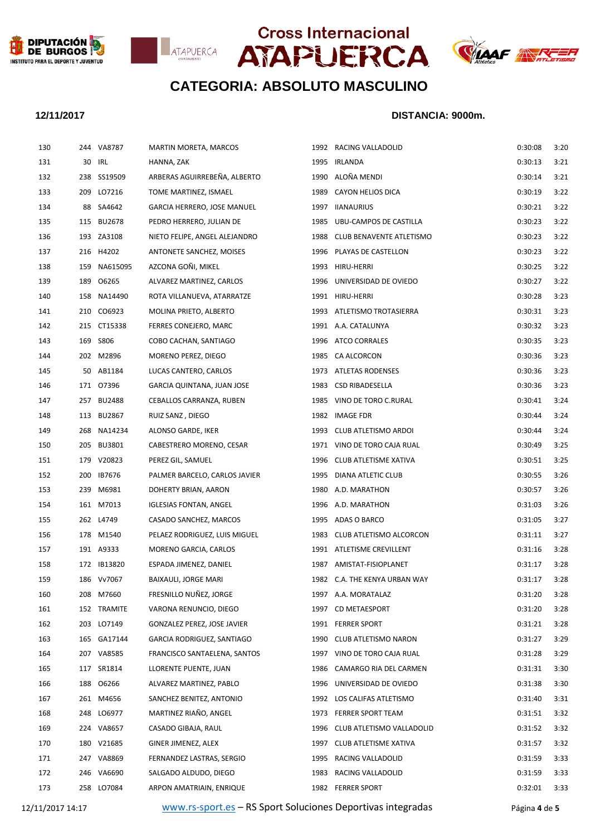







### **12/11/2017 DISTANCIA: 9000m.**

| 130 |     | 244 VA8787   | MARTIN MORETA, MARCOS         | 1992 RACING VALLADOLID         | 0:30:08 | 3:20 |
|-----|-----|--------------|-------------------------------|--------------------------------|---------|------|
|     | 131 | 30 IRL       | HANNA, ZAK                    | 1995 IRLANDA                   | 0:30:13 | 3:21 |
|     | 132 | 238 SS19509  | ARBERAS AGUIRREBEÑA, ALBERTO  | 1990 ALOÑA MENDI               | 0:30:14 | 3:21 |
|     | 133 | 209 LO7216   | TOME MARTINEZ, ISMAEL         | 1989 CAYON HELIOS DICA         | 0:30:19 | 3:22 |
|     | 134 | 88 SA4642    | GARCIA HERRERO, JOSE MANUEL   | 1997 IIANAURIUS                | 0:30:21 | 3:22 |
|     | 135 | 115 BU2678   | PEDRO HERRERO, JULIAN DE      | 1985 UBU-CAMPOS DE CASTILLA    | 0:30:23 | 3:22 |
|     | 136 | 193 ZA3108   | NIETO FELIPE, ANGEL ALEJANDRO | 1988 CLUB BENAVENTE ATLETISMO  | 0:30:23 | 3:22 |
|     | 137 | 216 H4202    | ANTONETE SANCHEZ, MOISES      | 1996 PLAYAS DE CASTELLON       | 0:30:23 | 3:22 |
|     | 138 | 159 NA615095 | AZCONA GOÑI, MIKEL            | 1993 HIRU-HERRI                | 0:30:25 | 3:22 |
|     | 139 | 189 06265    | ALVAREZ MARTINEZ, CARLOS      | 1996 UNIVERSIDAD DE OVIEDO     | 0:30:27 | 3:22 |
| 140 |     | 158 NA14490  | ROTA VILLANUEVA, ATARRATZE    | 1991 HIRU-HERRI                | 0:30:28 | 3:23 |
| 141 |     | 210 CO6923   | MOLINA PRIETO, ALBERTO        | 1993 ATLETISMO TROTASIERRA     | 0:30:31 | 3:23 |
|     | 142 | 215 CT15338  | FERRES CONEJERO, MARC         | 1991 A.A. CATALUNYA            | 0:30:32 | 3:23 |
|     | 143 | 169 S806     | COBO CACHAN, SANTIAGO         | 1996 ATCO CORRALES             | 0:30:35 | 3:23 |
|     | 144 | 202 M2896    | MORENO PEREZ, DIEGO           | 1985 CA ALCORCON               | 0:30:36 | 3:23 |
| 145 |     | 50 AB1184    | LUCAS CANTERO, CARLOS         | 1973 ATLETAS RODENSES          | 0:30:36 | 3:23 |
|     | 146 | 171 07396    | GARCIA QUINTANA, JUAN JOSE    | 1983 CSD RIBADESELLA           | 0:30:36 | 3:23 |
|     | 147 | 257 BU2488   | CEBALLOS CARRANZA, RUBEN      | 1985 VINO DE TORO C.RURAL      | 0:30:41 | 3:24 |
|     | 148 | 113 BU2867   | RUIZ SANZ, DIEGO              | 1982 IMAGE FDR                 | 0:30:44 | 3:24 |
| 149 |     | 268 NA14234  | ALONSO GARDE, IKER            | 1993 CLUB ATLETISMO ARDOI      | 0:30:44 | 3:24 |
| 150 |     | 205 BU3801   | CABESTRERO MORENO, CESAR      | 1971 VINO DE TORO CAJA RUAL    | 0:30:49 | 3:25 |
|     | 151 | 179 V20823   | PEREZ GIL, SAMUEL             | 1996 CLUB ATLETISME XATIVA     | 0:30:51 | 3:25 |
|     | 152 | 200 IB7676   | PALMER BARCELO, CARLOS JAVIER | 1995 DIANA ATLETIC CLUB        | 0:30:55 | 3:26 |
|     | 153 | 239 M6981    | DOHERTY BRIAN, AARON          | 1980 A.D. MARATHON             | 0:30:57 | 3:26 |
|     | 154 | 161 M7013    | <b>IGLESIAS FONTAN, ANGEL</b> | 1996 A.D. MARATHON             | 0:31:03 | 3:26 |
|     | 155 | 262 L4749    | CASADO SANCHEZ, MARCOS        | 1995 ADAS O BARCO              | 0:31:05 | 3:27 |
|     | 156 | 178 M1540    | PELAEZ RODRIGUEZ, LUIS MIGUEL | 1983 CLUB ATLETISMO ALCORCON   | 0:31:11 | 3:27 |
|     | 157 | 191 A9333    | MORENO GARCIA, CARLOS         | 1991 ATLETISME CREVILLENT      | 0:31:16 | 3:28 |
|     | 158 | 172 IB13820  | ESPADA JIMENEZ, DANIEL        | 1987 AMISTAT-FISIOPLANET       | 0:31:17 | 3:28 |
| 159 |     | 186 Vv7067   | BAIXAULI, JORGE MARI          | 1982 C.A. THE KENYA URBAN WAY  | 0:31:17 | 3:28 |
| 160 |     | 208 M7660    | FRESNILLO NUÑEZ, JORGE        | 1997 A.A. MORATALAZ            | 0:31:20 | 3:28 |
| 161 |     | 152 TRAMITE  | VARONA RENUNCIO, DIEGO        | 1997 CD METAESPORT             | 0:31:20 | 3:28 |
|     | 162 | 203 LO7149   | GONZALEZ PEREZ, JOSE JAVIER   | 1991 FERRER SPORT              | 0:31:21 | 3:28 |
|     | 163 | 165 GA17144  | GARCIA RODRIGUEZ, SANTIAGO    | 1990 CLUB ATLETISMO NARON      | 0:31:27 | 3:29 |
|     | 164 | 207 VA8585   | FRANCISCO SANTAELENA, SANTOS  | 1997 VINO DE TORO CAJA RUAL    | 0:31:28 | 3:29 |
| 165 |     | 117 SR1814   | LLORENTE PUENTE, JUAN         | 1986 CAMARGO RIA DEL CARMEN    | 0:31:31 | 3:30 |
|     | 166 | 188 06266    | ALVAREZ MARTINEZ, PABLO       | 1996 UNIVERSIDAD DE OVIEDO     | 0:31:38 | 3:30 |
|     | 167 | 261 M4656    | SANCHEZ BENITEZ, ANTONIO      | 1992 LOS CALIFAS ATLETISMO     | 0:31:40 | 3:31 |
|     | 168 | 248 LO6977   | MARTINEZ RIAÑO, ANGEL         | 1973 FERRER SPORT TEAM         | 0:31:51 | 3:32 |
|     | 169 | 224 VA8657   | CASADO GIBAJA, RAUL           | 1996 CLUB ATLETISMO VALLADOLID | 0:31:52 | 3:32 |
| 170 |     | 180 V21685   | GINER JIMENEZ, ALEX           | 1997 CLUB ATLETISME XATIVA     | 0:31:57 | 3:32 |
|     | 171 | 247 VA8869   | FERNANDEZ LASTRAS, SERGIO     | 1995 RACING VALLADOLID         | 0:31:59 | 3:33 |
|     | 172 | 246 VA6690   | SALGADO ALDUDO, DIEGO         | 1983 RACING VALLADOLID         | 0:31:59 | 3:33 |
|     | 173 | 258 LO7084   | ARPON AMATRIAIN, ENRIQUE      | 1982 FERRER SPORT              | 0:32:01 | 3:33 |
|     |     |              |                               |                                |         |      |

12/11/2017 14:17 [www.rs-sport.es](http://www.rs-sport.es/) – RS Sport Soluciones Deportivas integradas Página **4** de **5**